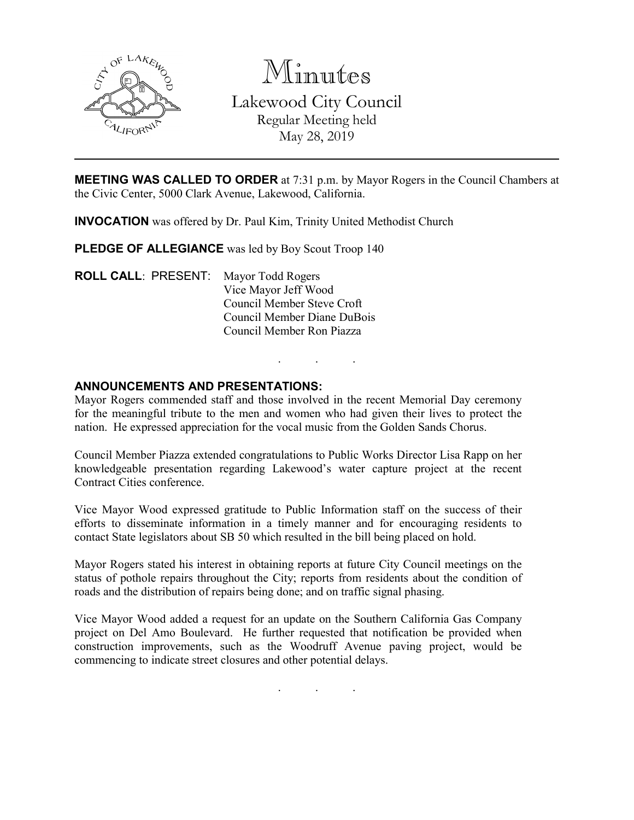

Minutes Lakewood City Council Regular Meeting held May 28, 2019

**MEETING WAS CALLED TO ORDER** at 7:31 p.m. by Mayor Rogers in the Council Chambers at the Civic Center, 5000 Clark Avenue, Lakewood, California.

**INVOCATION** was offered by Dr. Paul Kim, Trinity United Methodist Church

**PLEDGE OF ALLEGIANCE** was led by Boy Scout Troop 140

**ROLL CALL**: PRESENT: Mayor Todd Rogers Vice Mayor Jeff Wood Council Member Steve Croft Council Member Diane DuBois Council Member Ron Piazza

#### **ANNOUNCEMENTS AND PRESENTATIONS:**

Mayor Rogers commended staff and those involved in the recent Memorial Day ceremony for the meaningful tribute to the men and women who had given their lives to protect the nation. He expressed appreciation for the vocal music from the Golden Sands Chorus.

. . .

Council Member Piazza extended congratulations to Public Works Director Lisa Rapp on her knowledgeable presentation regarding Lakewood's water capture project at the recent Contract Cities conference.

Vice Mayor Wood expressed gratitude to Public Information staff on the success of their efforts to disseminate information in a timely manner and for encouraging residents to contact State legislators about SB 50 which resulted in the bill being placed on hold.

Mayor Rogers stated his interest in obtaining reports at future City Council meetings on the status of pothole repairs throughout the City; reports from residents about the condition of roads and the distribution of repairs being done; and on traffic signal phasing.

Vice Mayor Wood added a request for an update on the Southern California Gas Company project on Del Amo Boulevard. He further requested that notification be provided when construction improvements, such as the Woodruff Avenue paving project, would be commencing to indicate street closures and other potential delays.

. . .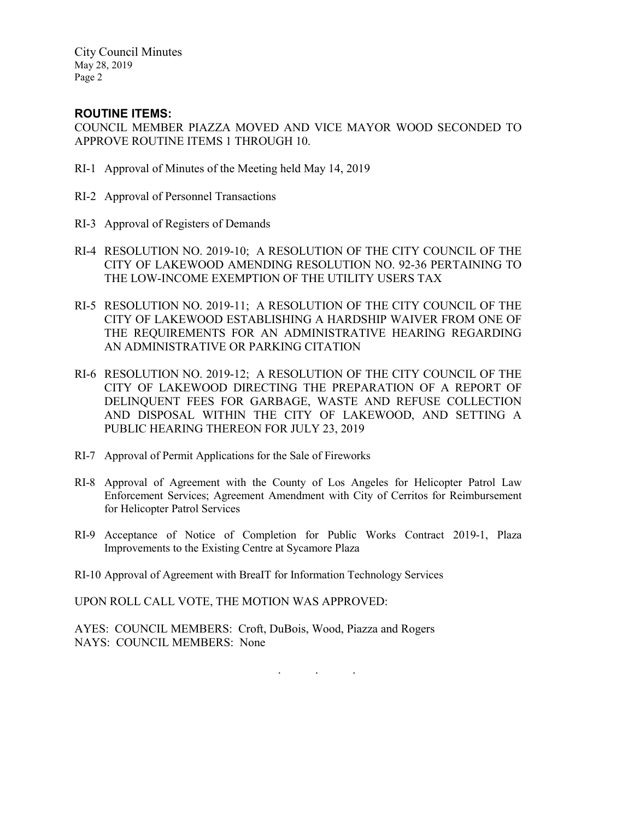City Council Minutes May 28, 2019 Page 2

# **ROUTINE ITEMS:**

COUNCIL MEMBER PIAZZA MOVED AND VICE MAYOR WOOD SECONDED TO APPROVE ROUTINE ITEMS 1 THROUGH 10.

- RI-1 Approval of Minutes of the Meeting held May 14, 2019
- RI-2 Approval of Personnel Transactions
- RI-3 Approval of Registers of Demands
- RI-4 RESOLUTION NO. 2019-10; A RESOLUTION OF THE CITY COUNCIL OF THE CITY OF LAKEWOOD AMENDING RESOLUTION NO. 92-36 PERTAINING TO THE LOW-INCOME EXEMPTION OF THE UTILITY USERS TAX
- RI-5 RESOLUTION NO. 2019-11; A RESOLUTION OF THE CITY COUNCIL OF THE CITY OF LAKEWOOD ESTABLISHING A HARDSHIP WAIVER FROM ONE OF THE REQUIREMENTS FOR AN ADMINISTRATIVE HEARING REGARDING AN ADMINISTRATIVE OR PARKING CITATION
- RI-6 RESOLUTION NO. 2019-12; A RESOLUTION OF THE CITY COUNCIL OF THE CITY OF LAKEWOOD DIRECTING THE PREPARATION OF A REPORT OF DELINQUENT FEES FOR GARBAGE, WASTE AND REFUSE COLLECTION AND DISPOSAL WITHIN THE CITY OF LAKEWOOD, AND SETTING A PUBLIC HEARING THEREON FOR JULY 23, 2019
- RI-7 Approval of Permit Applications for the Sale of Fireworks
- RI-8 Approval of Agreement with the County of Los Angeles for Helicopter Patrol Law Enforcement Services; Agreement Amendment with City of Cerritos for Reimbursement for Helicopter Patrol Services
- RI-9 Acceptance of Notice of Completion for Public Works Contract 2019-1, Plaza Improvements to the Existing Centre at Sycamore Plaza
- RI-10 Approval of Agreement with BreaIT for Information Technology Services

UPON ROLL CALL VOTE, THE MOTION WAS APPROVED:

AYES: COUNCIL MEMBERS: Croft, DuBois, Wood, Piazza and Rogers NAYS: COUNCIL MEMBERS: None

. . .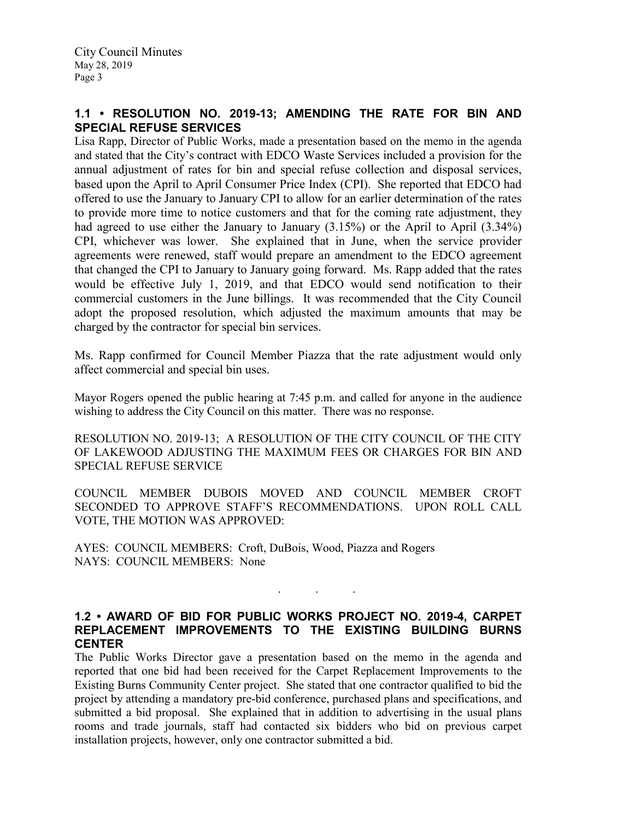# **1.1 • RESOLUTION NO. 2019-13; AMENDING THE RATE FOR BIN AND SPECIAL REFUSE SERVICES**

Lisa Rapp, Director of Public Works, made a presentation based on the memo in the agenda and stated that the City's contract with EDCO Waste Services included a provision for the annual adjustment of rates for bin and special refuse collection and disposal services, based upon the April to April Consumer Price Index (CPI). She reported that EDCO had offered to use the January to January CPI to allow for an earlier determination of the rates to provide more time to notice customers and that for the coming rate adjustment, they had agreed to use either the January to January (3.15%) or the April to April (3.34%) CPI, whichever was lower. She explained that in June, when the service provider agreements were renewed, staff would prepare an amendment to the EDCO agreement that changed the CPI to January to January going forward. Ms. Rapp added that the rates would be effective July 1, 2019, and that EDCO would send notification to their commercial customers in the June billings. It was recommended that the City Council adopt the proposed resolution, which adjusted the maximum amounts that may be charged by the contractor for special bin services.

Ms. Rapp confirmed for Council Member Piazza that the rate adjustment would only affect commercial and special bin uses.

Mayor Rogers opened the public hearing at 7:45 p.m. and called for anyone in the audience wishing to address the City Council on this matter. There was no response.

RESOLUTION NO. 2019-13; A RESOLUTION OF THE CITY COUNCIL OF THE CITY OF LAKEWOOD ADJUSTING THE MAXIMUM FEES OR CHARGES FOR BIN AND SPECIAL REFUSE SERVICE

COUNCIL MEMBER DUBOIS MOVED AND COUNCIL MEMBER CROFT SECONDED TO APPROVE STAFF'S RECOMMENDATIONS. UPON ROLL CALL VOTE, THE MOTION WAS APPROVED:

AYES: COUNCIL MEMBERS: Croft, DuBois, Wood, Piazza and Rogers NAYS: COUNCIL MEMBERS: None

### **1.2 • AWARD OF BID FOR PUBLIC WORKS PROJECT NO. 2019-4, CARPET REPLACEMENT IMPROVEMENTS TO THE EXISTING BUILDING BURNS CENTER**

. . .

The Public Works Director gave a presentation based on the memo in the agenda and reported that one bid had been received for the Carpet Replacement Improvements to the Existing Burns Community Center project. She stated that one contractor qualified to bid the project by attending a mandatory pre-bid conference, purchased plans and specifications, and submitted a bid proposal. She explained that in addition to advertising in the usual plans rooms and trade journals, staff had contacted six bidders who bid on previous carpet installation projects, however, only one contractor submitted a bid.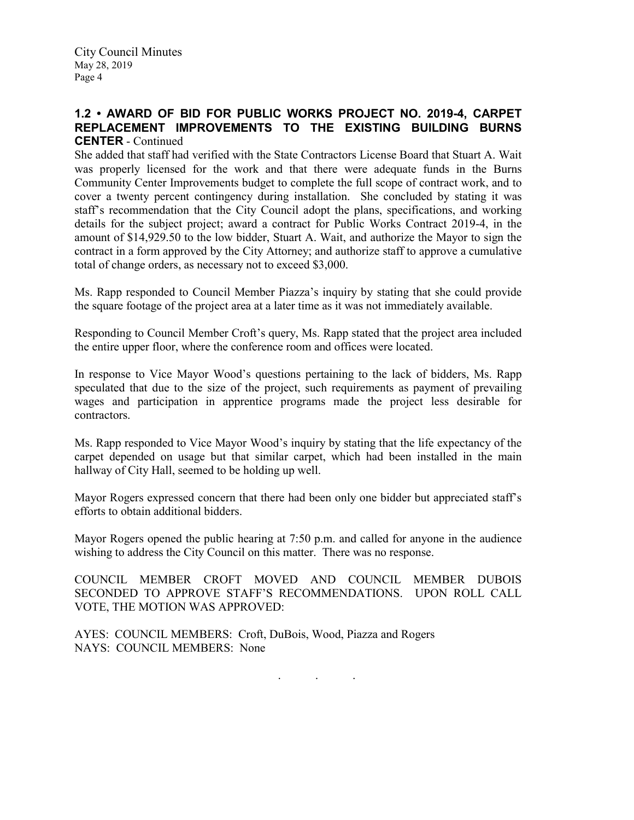City Council Minutes May 28, 2019 Page 4

# **1.2 • AWARD OF BID FOR PUBLIC WORKS PROJECT NO. 2019-4, CARPET REPLACEMENT IMPROVEMENTS TO THE EXISTING BUILDING BURNS CENTER** - Continued

She added that staff had verified with the State Contractors License Board that Stuart A. Wait was properly licensed for the work and that there were adequate funds in the Burns Community Center Improvements budget to complete the full scope of contract work, and to cover a twenty percent contingency during installation. She concluded by stating it was staff's recommendation that the City Council adopt the plans, specifications, and working details for the subject project; award a contract for Public Works Contract 2019-4, in the amount of \$14,929.50 to the low bidder, Stuart A. Wait, and authorize the Mayor to sign the contract in a form approved by the City Attorney; and authorize staff to approve a cumulative total of change orders, as necessary not to exceed \$3,000.

Ms. Rapp responded to Council Member Piazza's inquiry by stating that she could provide the square footage of the project area at a later time as it was not immediately available.

Responding to Council Member Croft's query, Ms. Rapp stated that the project area included the entire upper floor, where the conference room and offices were located.

In response to Vice Mayor Wood's questions pertaining to the lack of bidders, Ms. Rapp speculated that due to the size of the project, such requirements as payment of prevailing wages and participation in apprentice programs made the project less desirable for contractors.

Ms. Rapp responded to Vice Mayor Wood's inquiry by stating that the life expectancy of the carpet depended on usage but that similar carpet, which had been installed in the main hallway of City Hall, seemed to be holding up well.

Mayor Rogers expressed concern that there had been only one bidder but appreciated staff's efforts to obtain additional bidders.

Mayor Rogers opened the public hearing at 7:50 p.m. and called for anyone in the audience wishing to address the City Council on this matter. There was no response.

COUNCIL MEMBER CROFT MOVED AND COUNCIL MEMBER DUBOIS SECONDED TO APPROVE STAFF'S RECOMMENDATIONS. UPON ROLL CALL VOTE, THE MOTION WAS APPROVED:

AYES: COUNCIL MEMBERS: Croft, DuBois, Wood, Piazza and Rogers NAYS: COUNCIL MEMBERS: None

. . .